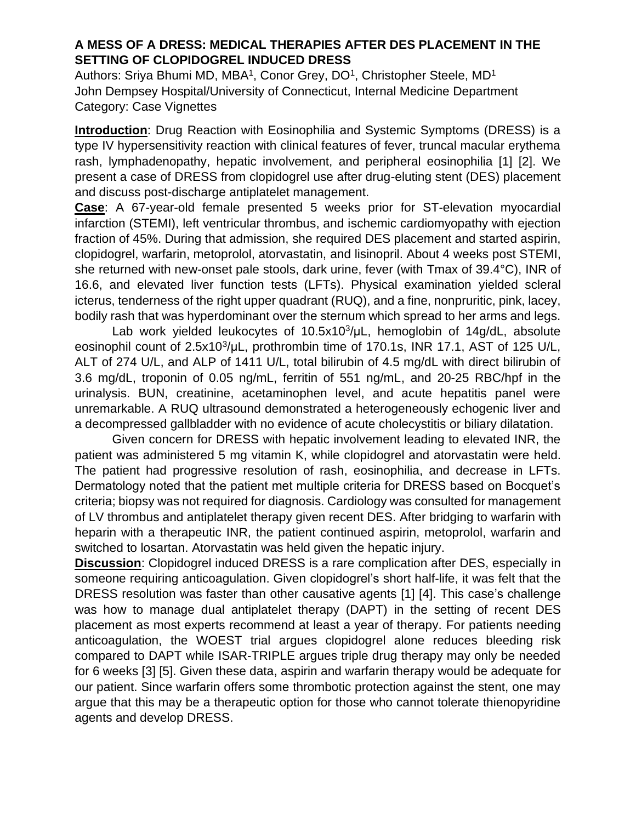## **A MESS OF A DRESS: MEDICAL THERAPIES AFTER DES PLACEMENT IN THE SETTING OF CLOPIDOGREL INDUCED DRESS**

Authors: Sriya Bhumi MD, MBA<sup>1</sup>, Conor Grey, DO<sup>1</sup>, Christopher Steele, MD<sup>1</sup> John Dempsey Hospital/University of Connecticut, Internal Medicine Department Category: Case Vignettes

**Introduction**: Drug Reaction with Eosinophilia and Systemic Symptoms (DRESS) is a type IV hypersensitivity reaction with clinical features of fever, truncal macular erythema rash, lymphadenopathy, hepatic involvement, and peripheral eosinophilia [1] [2]. We present a case of DRESS from clopidogrel use after drug-eluting stent (DES) placement and discuss post-discharge antiplatelet management.

**Case**: A 67-year-old female presented 5 weeks prior for ST-elevation myocardial infarction (STEMI), left ventricular thrombus, and ischemic cardiomyopathy with ejection fraction of 45%. During that admission, she required DES placement and started aspirin, clopidogrel, warfarin, metoprolol, atorvastatin, and lisinopril. About 4 weeks post STEMI, she returned with new-onset pale stools, dark urine, fever (with Tmax of 39.4°C), INR of 16.6, and elevated liver function tests (LFTs). Physical examination yielded scleral icterus, tenderness of the right upper quadrant (RUQ), and a fine, nonpruritic, pink, lacey, bodily rash that was hyperdominant over the sternum which spread to her arms and legs.

Lab work yielded leukocytes of 10.5x10<sup>3</sup>/µL, hemoglobin of 14g/dL, absolute eosinophil count of 2.5x10<sup>3</sup>/µL, prothrombin time of 170.1s, INR 17.1, AST of 125 U/L, ALT of 274 U/L, and ALP of 1411 U/L, total bilirubin of 4.5 mg/dL with direct bilirubin of 3.6 mg/dL, troponin of 0.05 ng/mL, ferritin of 551 ng/mL, and 20-25 RBC/hpf in the urinalysis. BUN, creatinine, acetaminophen level, and acute hepatitis panel were unremarkable. A RUQ ultrasound demonstrated a heterogeneously echogenic liver and a decompressed gallbladder with no evidence of acute cholecystitis or biliary dilatation.

Given concern for DRESS with hepatic involvement leading to elevated INR, the patient was administered 5 mg vitamin K, while clopidogrel and atorvastatin were held. The patient had progressive resolution of rash, eosinophilia, and decrease in LFTs. Dermatology noted that the patient met multiple criteria for DRESS based on Bocquet's criteria; biopsy was not required for diagnosis. Cardiology was consulted for management of LV thrombus and antiplatelet therapy given recent DES. After bridging to warfarin with heparin with a therapeutic INR, the patient continued aspirin, metoprolol, warfarin and switched to losartan. Atorvastatin was held given the hepatic injury.

**Discussion**: Clopidogrel induced DRESS is a rare complication after DES, especially in someone requiring anticoagulation. Given clopidogrel's short half-life, it was felt that the DRESS resolution was faster than other causative agents [1] [4]. This case's challenge was how to manage dual antiplatelet therapy (DAPT) in the setting of recent DES placement as most experts recommend at least a year of therapy. For patients needing anticoagulation, the WOEST trial argues clopidogrel alone reduces bleeding risk compared to DAPT while ISAR-TRIPLE argues triple drug therapy may only be needed for 6 weeks [3] [5]. Given these data, aspirin and warfarin therapy would be adequate for our patient. Since warfarin offers some thrombotic protection against the stent, one may argue that this may be a therapeutic option for those who cannot tolerate thienopyridine agents and develop DRESS.